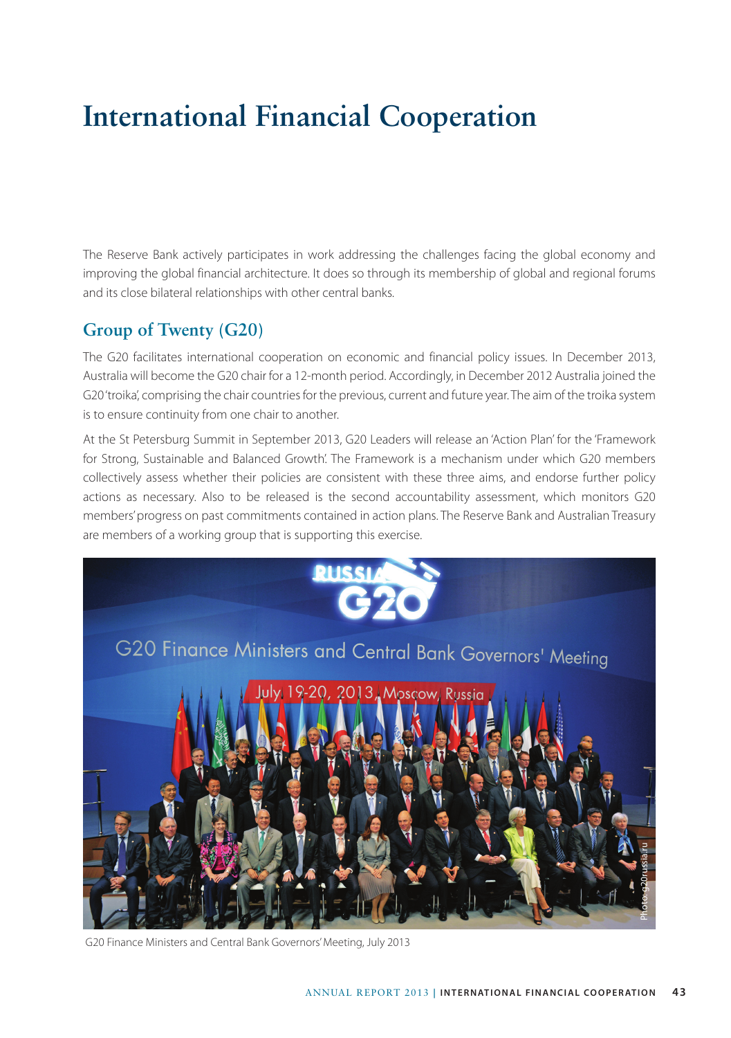# **International Financial Cooperation**

The Reserve Bank actively participates in work addressing the challenges facing the global economy and improving the global financial architecture. It does so through its membership of global and regional forums and its close bilateral relationships with other central banks.

#### **Group of Twenty (G20)**

The G20 facilitates international cooperation on economic and financial policy issues. In December 2013, Australia will become the G20 chair for a 12-month period. Accordingly, in December 2012 Australia joined the G20 'troika', comprising the chair countries for the previous, current and future year. The aim of the troika system is to ensure continuity from one chair to another.

At the St Petersburg Summit in September 2013, G20 Leaders will release an 'Action Plan' for the 'Framework for Strong, Sustainable and Balanced Growth'. The Framework is a mechanism under which G20 members collectively assess whether their policies are consistent with these three aims, and endorse further policy actions as necessary. Also to be released is the second accountability assessment, which monitors G20 members' progress on past commitments contained in action plans. The Reserve Bank and Australian Treasury are members of a working group that is supporting this exercise.



G20 Finance Ministers and Central Bank Governors' Meeting, July 2013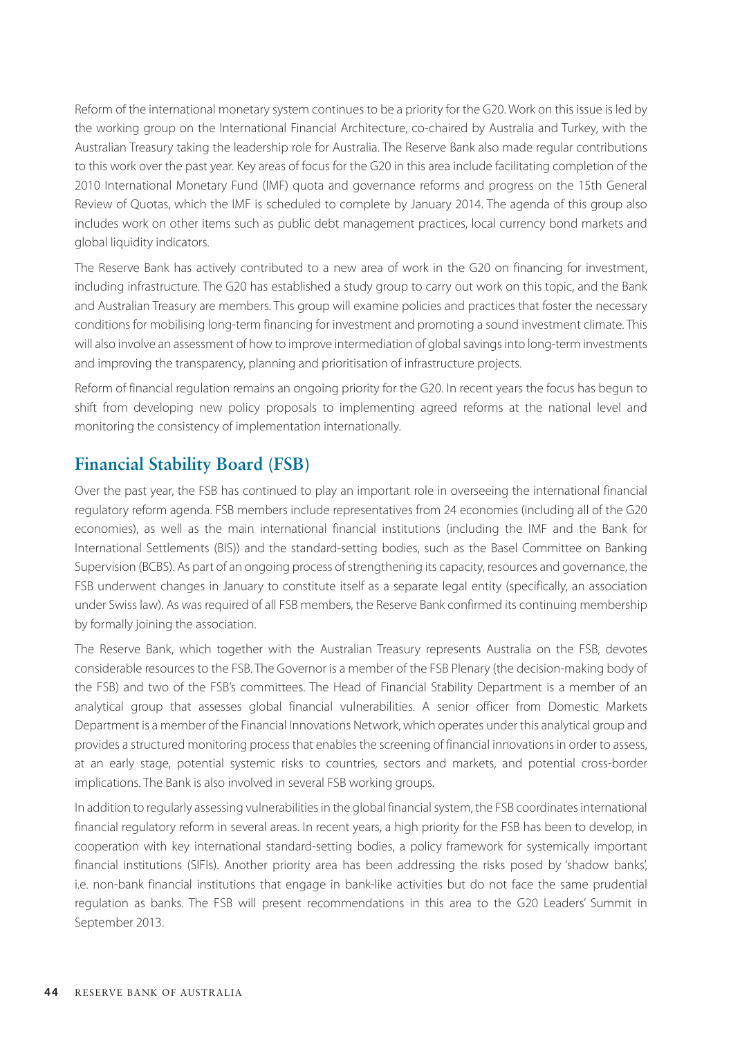Reform of the international monetary system continues to be a priority for the G20. Work on this issue is led by the working group on the International Financial Architecture, co-chaired by Australia and Turkey, with the Australian Treasury taking the leadership role for Australia. The Reserve Bank also made regular contributions to this work over the past year. Key areas of focus for the G20 in this area include facilitating completion of the 2010 International Monetary Fund (IMF) quota and governance reforms and progress on the 15th General Review of Quotas, which the IMF is scheduled to complete by January 2014. The agenda of this group also includes work on other items such as public debt management practices, local currency bond markets and global liquidity indicators.

The Reserve Bank has actively contributed to a new area of work in the G20 on financing for investment, including infrastructure. The G20 has established a study group to carry out work on this topic, and the Bank and Australian Treasury are members. This group will examine policies and practices that foster the necessary conditions for mobilising long-term financing for investment and promoting a sound investment climate. This will also involve an assessment of how to improve intermediation of global savings into long-term investments and improving the transparency, planning and prioritisation of infrastructure projects.

Reform of financial regulation remains an ongoing priority for the G20. In recent years the focus has begun to shift from developing new policy proposals to implementing agreed reforms at the national level and monitoring the consistency of implementation internationally.

#### **Financial Stability Board (FSB)**

Over the past year, the FSB has continued to play an important role in overseeing the international financial regulatory reform agenda. FSB members include representatives from 24 economies (including all of the G20 economies), as well as the main international financial institutions (including the IMF and the Bank for International Settlements (BIS)) and the standard-setting bodies, such as the Basel Committee on Banking Supervision (BCBS). As part of an ongoing process of strengthening its capacity, resources and governance, the FSB underwent changes in January to constitute itself as a separate legal entity (specifically, an association under Swiss law). As was required of all FSB members, the Reserve Bank confirmed its continuing membership by formally joining the association.

The Reserve Bank, which together with the Australian Treasury represents Australia on the FSB, devotes considerable resources to the FSB. The Governor is a member of the FSB Plenary (the decision-making body of the FSB) and two of the FSB's committees. The Head of Financial Stability Department is a member of an analytical group that assesses global financial vulnerabilities. A senior officer from Domestic Markets Department is a member of the Financial Innovations Network, which operates under this analytical group and provides a structured monitoring process that enables the screening of financial innovations in order to assess, at an early stage, potential systemic risks to countries, sectors and markets, and potential cross-border implications. The Bank is also involved in several FSB working groups.

In addition to regularly assessing vulnerabilities in the global financial system, the FSB coordinates international financial regulatory reform in several areas. In recent years, a high priority for the FSB has been to develop, in cooperation with key international standard-setting bodies, a policy framework for systemically important financial institutions (SIFIs). Another priority area has been addressing the risks posed by 'shadow banks', i.e. non-bank financial institutions that engage in bank-like activities but do not face the same prudential regulation as banks. The FSB will present recommendations in this area to the G20 Leaders' Summit in September 2013.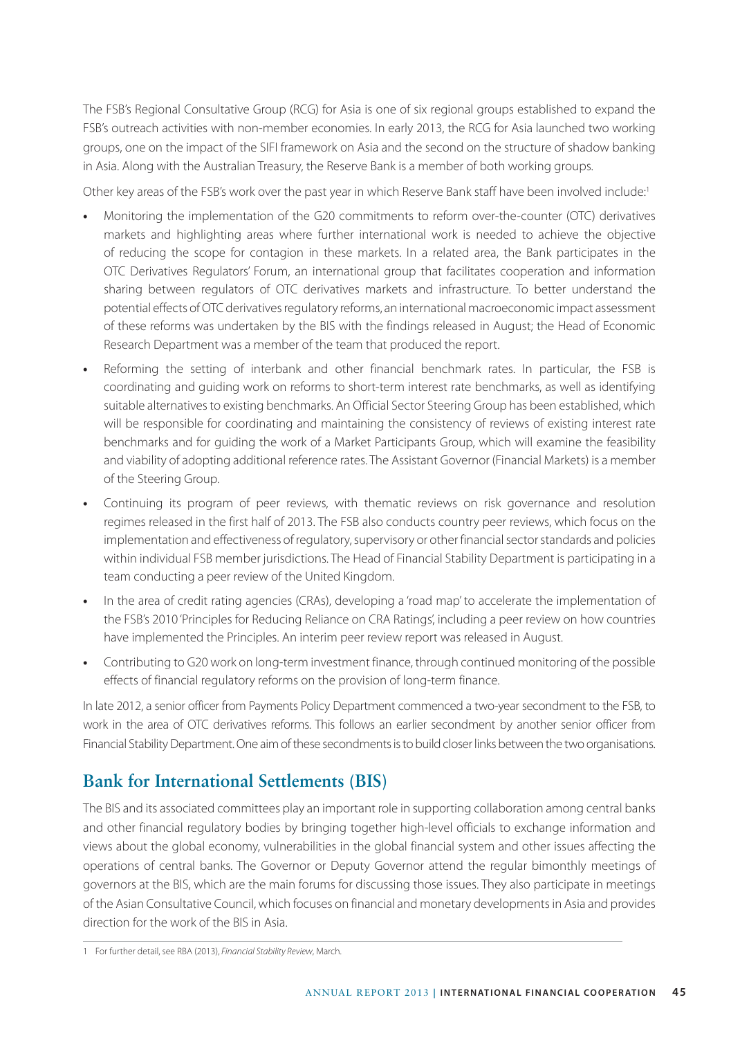The FSB's Regional Consultative Group (RCG) for Asia is one of six regional groups established to expand the FSB's outreach activities with non-member economies. In early 2013, the RCG for Asia launched two working groups, one on the impact of the SIFI framework on Asia and the second on the structure of shadow banking in Asia. Along with the Australian Treasury, the Reserve Bank is a member of both working groups.

Other key areas of the FSB's work over the past year in which Reserve Bank staff have been involved include:1

- **•** Monitoring the implementation of the G20 commitments to reform over-the-counter (OTC) derivatives markets and highlighting areas where further international work is needed to achieve the objective of reducing the scope for contagion in these markets. In a related area, the Bank participates in the OTC Derivatives Regulators' Forum, an international group that facilitates cooperation and information sharing between regulators of OTC derivatives markets and infrastructure. To better understand the potential effects of OTC derivatives regulatory reforms, an international macroeconomic impact assessment of these reforms was undertaken by the BIS with the findings released in August; the Head of Economic Research Department was a member of the team that produced the report.
- **•** Reforming the setting of interbank and other financial benchmark rates. In particular, the FSB is coordinating and guiding work on reforms to short-term interest rate benchmarks, as well as identifying suitable alternatives to existing benchmarks. An Official Sector Steering Group has been established, which will be responsible for coordinating and maintaining the consistency of reviews of existing interest rate benchmarks and for guiding the work of a Market Participants Group, which will examine the feasibility and viability of adopting additional reference rates. The Assistant Governor (Financial Markets) is a member of the Steering Group.
- **•** Continuing its program of peer reviews, with thematic reviews on risk governance and resolution regimes released in the first half of 2013. The FSB also conducts country peer reviews, which focus on the implementation and effectiveness of regulatory, supervisory or other financial sector standards and policies within individual FSB member jurisdictions. The Head of Financial Stability Department is participating in a team conducting a peer review of the United Kingdom.
- **•** In the area of credit rating agencies (CRAs), developing a 'road map' to accelerate the implementation of the FSB's 2010 'Principles for Reducing Reliance on CRA Ratings', including a peer review on how countries have implemented the Principles. An interim peer review report was released in August.
- **•** Contributing to G20 work on long-term investment finance, through continued monitoring of the possible effects of financial regulatory reforms on the provision of long-term finance.

In late 2012, a senior officer from Payments Policy Department commenced a two-year secondment to the FSB, to work in the area of OTC derivatives reforms. This follows an earlier secondment by another senior officer from Financial Stability Department. One aim of these secondments is to build closer links between the two organisations.

#### **Bank for International Settlements (BIS)**

The BIS and its associated committees play an important role in supporting collaboration among central banks and other financial regulatory bodies by bringing together high-level officials to exchange information and views about the global economy, vulnerabilities in the global financial system and other issues affecting the operations of central banks. The Governor or Deputy Governor attend the regular bimonthly meetings of governors at the BIS, which are the main forums for discussing those issues. They also participate in meetings of the Asian Consultative Council, which focuses on financial and monetary developments in Asia and provides direction for the work of the BIS in Asia.

<sup>1</sup> For further detail, see RBA (2013), *Financial Stability Review*, March.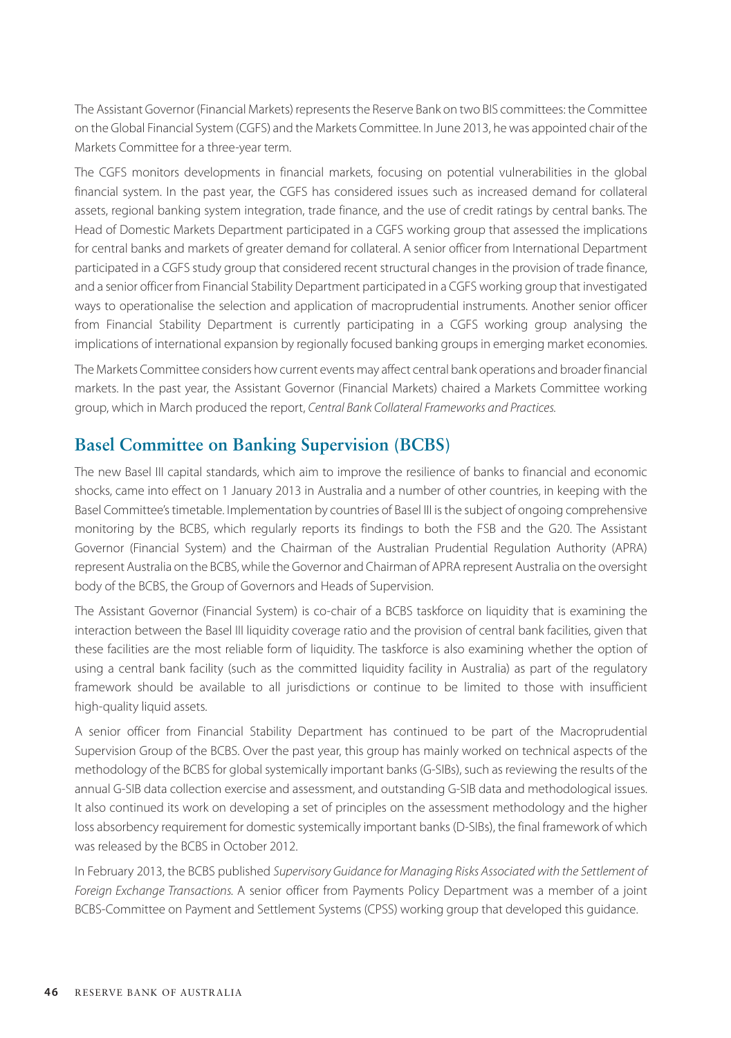The Assistant Governor (Financial Markets) represents the Reserve Bank on two BIS committees: the Committee on the Global Financial System (CGFS) and the Markets Committee. In June 2013, he was appointed chair of the Markets Committee for a three-year term.

The CGFS monitors developments in financial markets, focusing on potential vulnerabilities in the global financial system. In the past year, the CGFS has considered issues such as increased demand for collateral assets, regional banking system integration, trade finance, and the use of credit ratings by central banks. The Head of Domestic Markets Department participated in a CGFS working group that assessed the implications for central banks and markets of greater demand for collateral. A senior officer from International Department participated in a CGFS study group that considered recent structural changes in the provision of trade finance, and a senior officer from Financial Stability Department participated in a CGFS working group that investigated ways to operationalise the selection and application of macroprudential instruments. Another senior officer from Financial Stability Department is currently participating in a CGFS working group analysing the implications of international expansion by regionally focused banking groups in emerging market economies.

The Markets Committee considers how current events may affect central bank operations and broader financial markets. In the past year, the Assistant Governor (Financial Markets) chaired a Markets Committee working group, which in March produced the report, *Central Bank Collateral Frameworks and Practices.*

#### **Basel Committee on Banking Supervision (BCBS)**

The new Basel III capital standards, which aim to improve the resilience of banks to financial and economic shocks, came into effect on 1 January 2013 in Australia and a number of other countries, in keeping with the Basel Committee's timetable. Implementation by countries of Basel III is the subject of ongoing comprehensive monitoring by the BCBS, which regularly reports its findings to both the FSB and the G20. The Assistant Governor (Financial System) and the Chairman of the Australian Prudential Regulation Authority (APRA) represent Australia on the BCBS, while the Governor and Chairman of APRA represent Australia on the oversight body of the BCBS, the Group of Governors and Heads of Supervision.

The Assistant Governor (Financial System) is co-chair of a BCBS taskforce on liquidity that is examining the interaction between the Basel III liquidity coverage ratio and the provision of central bank facilities, given that these facilities are the most reliable form of liquidity. The taskforce is also examining whether the option of using a central bank facility (such as the committed liquidity facility in Australia) as part of the regulatory framework should be available to all jurisdictions or continue to be limited to those with insufficient high-quality liquid assets.

A senior officer from Financial Stability Department has continued to be part of the Macroprudential Supervision Group of the BCBS. Over the past year, this group has mainly worked on technical aspects of the methodology of the BCBS for global systemically important banks (G-SIBs), such as reviewing the results of the annual G-SIB data collection exercise and assessment, and outstanding G-SIB data and methodological issues. It also continued its work on developing a set of principles on the assessment methodology and the higher loss absorbency requirement for domestic systemically important banks (D-SIBs), the final framework of which was released by the BCBS in October 2012.

In February 2013, the BCBS published *Supervisory Guidance for Managing Risks Associated with the Settlement of Foreign Exchange Transactions.* A senior officer from Payments Policy Department was a member of a joint BCBS-Committee on Payment and Settlement Systems (CPSS) working group that developed this guidance.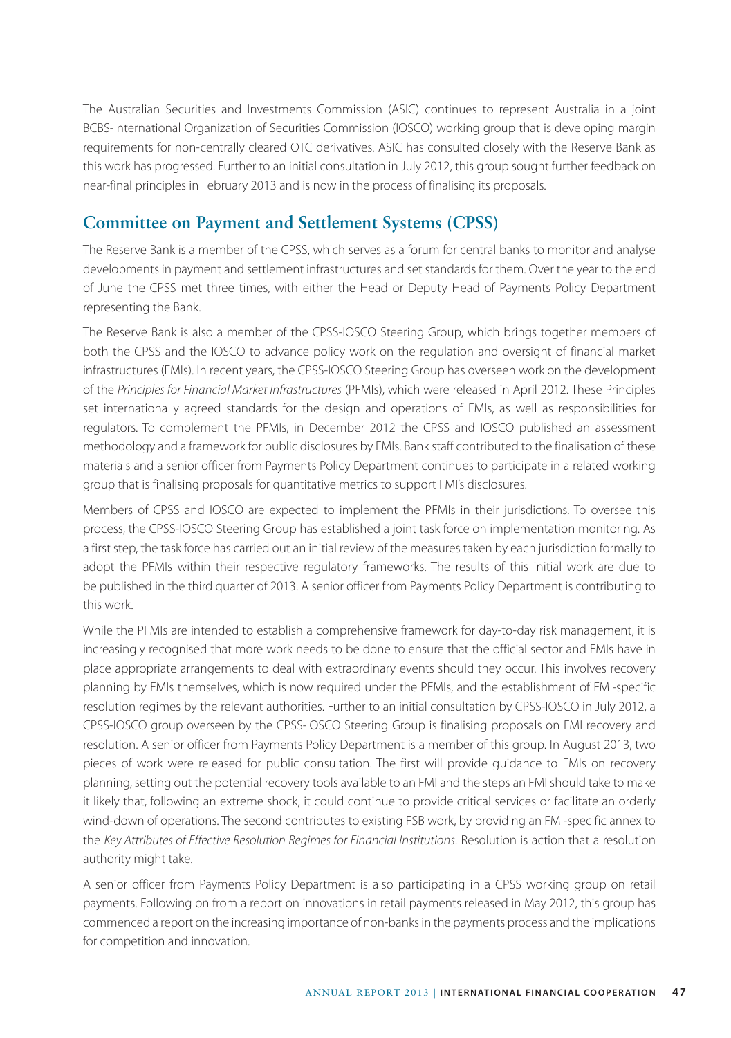The Australian Securities and Investments Commission (ASIC) continues to represent Australia in a joint BCBS-International Organization of Securities Commission (IOSCO) working group that is developing margin requirements for non-centrally cleared OTC derivatives. ASIC has consulted closely with the Reserve Bank as this work has progressed. Further to an initial consultation in July 2012, this group sought further feedback on near-final principles in February 2013 and is now in the process of finalising its proposals.

## **Committee on Payment and Settlement Systems (CPSS)**

The Reserve Bank is a member of the CPSS, which serves as a forum for central banks to monitor and analyse developments in payment and settlement infrastructures and set standards for them. Over the year to the end of June the CPSS met three times, with either the Head or Deputy Head of Payments Policy Department representing the Bank.

The Reserve Bank is also a member of the CPSS-IOSCO Steering Group, which brings together members of both the CPSS and the IOSCO to advance policy work on the regulation and oversight of financial market infrastructures (FMIs). In recent years, the CPSS-IOSCO Steering Group has overseen work on the development of the *Principles for Financial Market Infrastructures* (PFMIs), which were released in April 2012. These Principles set internationally agreed standards for the design and operations of FMIs, as well as responsibilities for regulators. To complement the PFMIs, in December 2012 the CPSS and IOSCO published an assessment methodology and a framework for public disclosures by FMIs. Bank staff contributed to the finalisation of these materials and a senior officer from Payments Policy Department continues to participate in a related working group that is finalising proposals for quantitative metrics to support FMI's disclosures.

Members of CPSS and IOSCO are expected to implement the PFMIs in their jurisdictions. To oversee this process, the CPSS-IOSCO Steering Group has established a joint task force on implementation monitoring. As a first step, the task force has carried out an initial review of the measures taken by each jurisdiction formally to adopt the PFMIs within their respective regulatory frameworks. The results of this initial work are due to be published in the third quarter of 2013. A senior officer from Payments Policy Department is contributing to this work.

While the PFMIs are intended to establish a comprehensive framework for day-to-day risk management, it is increasingly recognised that more work needs to be done to ensure that the official sector and FMIs have in place appropriate arrangements to deal with extraordinary events should they occur. This involves recovery planning by FMIs themselves, which is now required under the PFMIs, and the establishment of FMI-specific resolution regimes by the relevant authorities. Further to an initial consultation by CPSS-IOSCO in July 2012, a CPSS-IOSCO group overseen by the CPSS-IOSCO Steering Group is finalising proposals on FMI recovery and resolution. A senior officer from Payments Policy Department is a member of this group. In August 2013, two pieces of work were released for public consultation. The first will provide guidance to FMIs on recovery planning, setting out the potential recovery tools available to an FMI and the steps an FMI should take to make it likely that, following an extreme shock, it could continue to provide critical services or facilitate an orderly wind-down of operations. The second contributes to existing FSB work, by providing an FMI-specific annex to the *Key Attributes of Effective Resolution Regimes for Financial Institutions*. Resolution is action that a resolution authority might take.

A senior officer from Payments Policy Department is also participating in a CPSS working group on retail payments. Following on from a report on innovations in retail payments released in May 2012, this group has commenced a report on the increasing importance of non-banks in the payments process and the implications for competition and innovation.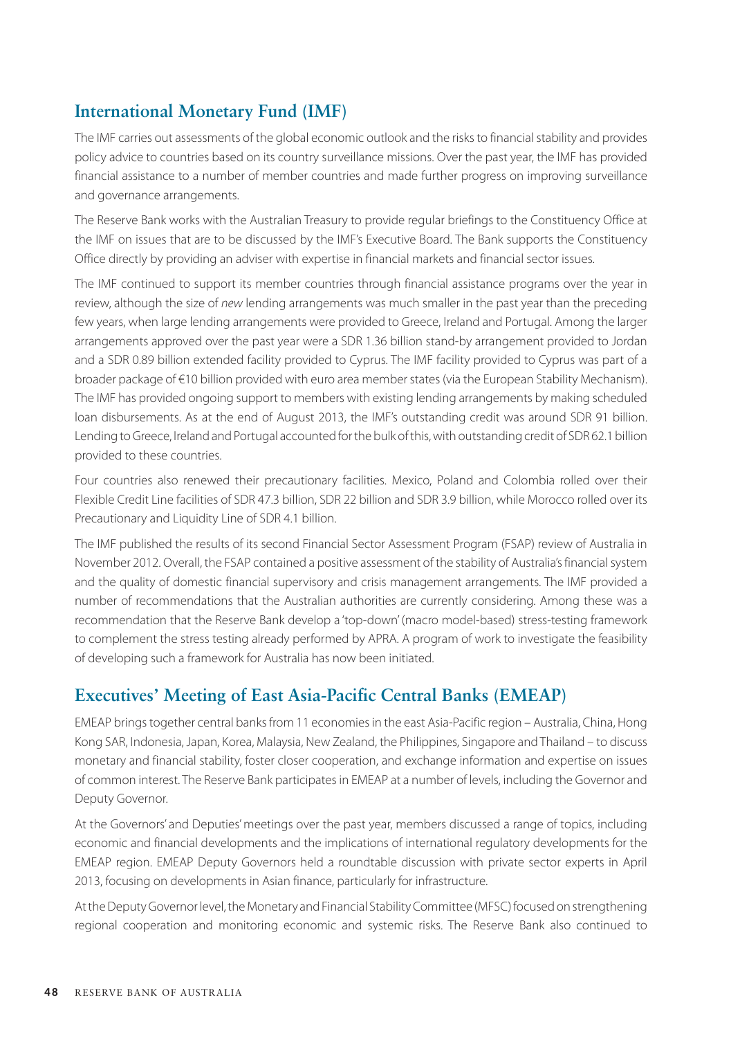## **International Monetary Fund (IMF)**

The IMF carries out assessments of the global economic outlook and the risks to financial stability and provides policy advice to countries based on its country surveillance missions. Over the past year, the IMF has provided financial assistance to a number of member countries and made further progress on improving surveillance and governance arrangements.

The Reserve Bank works with the Australian Treasury to provide regular briefings to the Constituency Office at the IMF on issues that are to be discussed by the IMF's Executive Board. The Bank supports the Constituency Office directly by providing an adviser with expertise in financial markets and financial sector issues.

The IMF continued to support its member countries through financial assistance programs over the year in review, although the size of *new* lending arrangements was much smaller in the past year than the preceding few years, when large lending arrangements were provided to Greece, Ireland and Portugal. Among the larger arrangements approved over the past year were a SDR 1.36 billion stand-by arrangement provided to Jordan and a SDR 0.89 billion extended facility provided to Cyprus. The IMF facility provided to Cyprus was part of a broader package of €10 billion provided with euro area member states (via the European Stability Mechanism). The IMF has provided ongoing support to members with existing lending arrangements by making scheduled loan disbursements. As at the end of August 2013, the IMF's outstanding credit was around SDR 91 billion. Lending to Greece, Ireland and Portugal accounted for the bulk of this, with outstanding credit of SDR 62.1 billion provided to these countries.

Four countries also renewed their precautionary facilities. Mexico, Poland and Colombia rolled over their Flexible Credit Line facilities of SDR 47.3 billion, SDR 22 billion and SDR 3.9 billion, while Morocco rolled over its Precautionary and Liquidity Line of SDR 4.1 billion.

The IMF published the results of its second Financial Sector Assessment Program (FSAP) review of Australia in November 2012. Overall, the FSAP contained a positive assessment of the stability of Australia's financial system and the quality of domestic financial supervisory and crisis management arrangements. The IMF provided a number of recommendations that the Australian authorities are currently considering. Among these was a recommendation that the Reserve Bank develop a 'top-down' (macro model-based) stress-testing framework to complement the stress testing already performed by APRA. A program of work to investigate the feasibility of developing such a framework for Australia has now been initiated.

#### **Executives' Meeting of East Asia-Pacific Central Banks (EMEAP)**

EMEAP brings together central banks from 11 economies in the east Asia-Pacific region – Australia, China, Hong Kong SAR, Indonesia, Japan, Korea, Malaysia, New Zealand, the Philippines, Singapore and Thailand – to discuss monetary and financial stability, foster closer cooperation, and exchange information and expertise on issues of common interest. The Reserve Bank participates in EMEAP at a number of levels, including the Governor and Deputy Governor.

At the Governors' and Deputies' meetings over the past year, members discussed a range of topics, including economic and financial developments and the implications of international regulatory developments for the EMEAP region. EMEAP Deputy Governors held a roundtable discussion with private sector experts in April 2013, focusing on developments in Asian finance, particularly for infrastructure.

At the Deputy Governor level, the Monetary and Financial Stability Committee (MFSC) focused on strengthening regional cooperation and monitoring economic and systemic risks. The Reserve Bank also continued to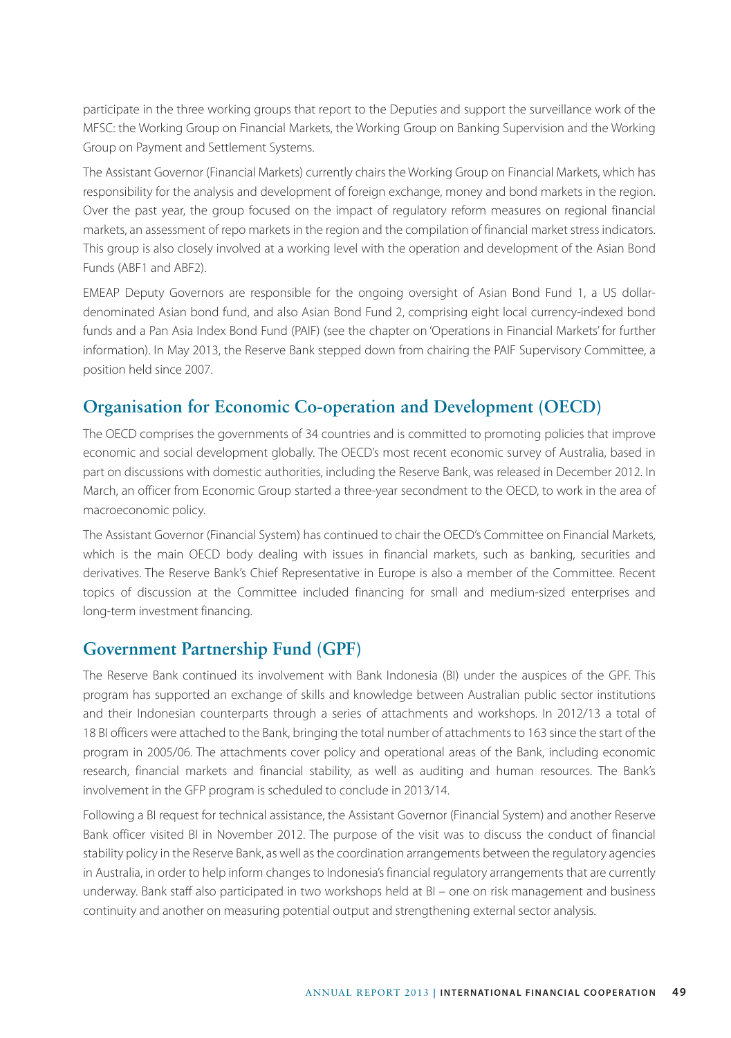participate in the three working groups that report to the Deputies and support the surveillance work of the MFSC: the Working Group on Financial Markets, the Working Group on Banking Supervision and the Working Group on Payment and Settlement Systems.

The Assistant Governor (Financial Markets) currently chairs the Working Group on Financial Markets, which has responsibility for the analysis and development of foreign exchange, money and bond markets in the region. Over the past year, the group focused on the impact of regulatory reform measures on regional financial markets, an assessment of repo markets in the region and the compilation of financial market stress indicators. This group is also closely involved at a working level with the operation and development of the Asian Bond Funds (ABF1 and ABF2).

EMEAP Deputy Governors are responsible for the ongoing oversight of Asian Bond Fund 1, a US dollardenominated Asian bond fund, and also Asian Bond Fund 2, comprising eight local currency-indexed bond funds and a Pan Asia Index Bond Fund (PAIF) (see the chapter on 'Operations in Financial Markets' for further information). In May 2013, the Reserve Bank stepped down from chairing the PAIF Supervisory Committee, a position held since 2007.

#### **Organisation for Economic Co-operation and Development (OECD)**

The OECD comprises the governments of 34 countries and is committed to promoting policies that improve economic and social development globally. The OECD's most recent economic survey of Australia, based in part on discussions with domestic authorities, including the Reserve Bank, was released in December 2012. In March, an officer from Economic Group started a three-year secondment to the OECD, to work in the area of macroeconomic policy.

The Assistant Governor (Financial System) has continued to chair the OECD's Committee on Financial Markets, which is the main OECD body dealing with issues in financial markets, such as banking, securities and derivatives. The Reserve Bank's Chief Representative in Europe is also a member of the Committee. Recent topics of discussion at the Committee included financing for small and medium-sized enterprises and long-term investment financing.

## **Government Partnership Fund (GPF)**

The Reserve Bank continued its involvement with Bank Indonesia (BI) under the auspices of the GPF. This program has supported an exchange of skills and knowledge between Australian public sector institutions and their Indonesian counterparts through a series of attachments and workshops. In 2012/13 a total of 18 BI officers were attached to the Bank, bringing the total number of attachments to 163 since the start of the program in 2005/06. The attachments cover policy and operational areas of the Bank, including economic research, financial markets and financial stability, as well as auditing and human resources. The Bank's involvement in the GFP program is scheduled to conclude in 2013/14.

Following a BI request for technical assistance, the Assistant Governor (Financial System) and another Reserve Bank officer visited BI in November 2012. The purpose of the visit was to discuss the conduct of financial stability policy in the Reserve Bank, as well as the coordination arrangements between the regulatory agencies in Australia, in order to help inform changes to Indonesia's financial regulatory arrangements that are currently underway. Bank staff also participated in two workshops held at BI – one on risk management and business continuity and another on measuring potential output and strengthening external sector analysis.